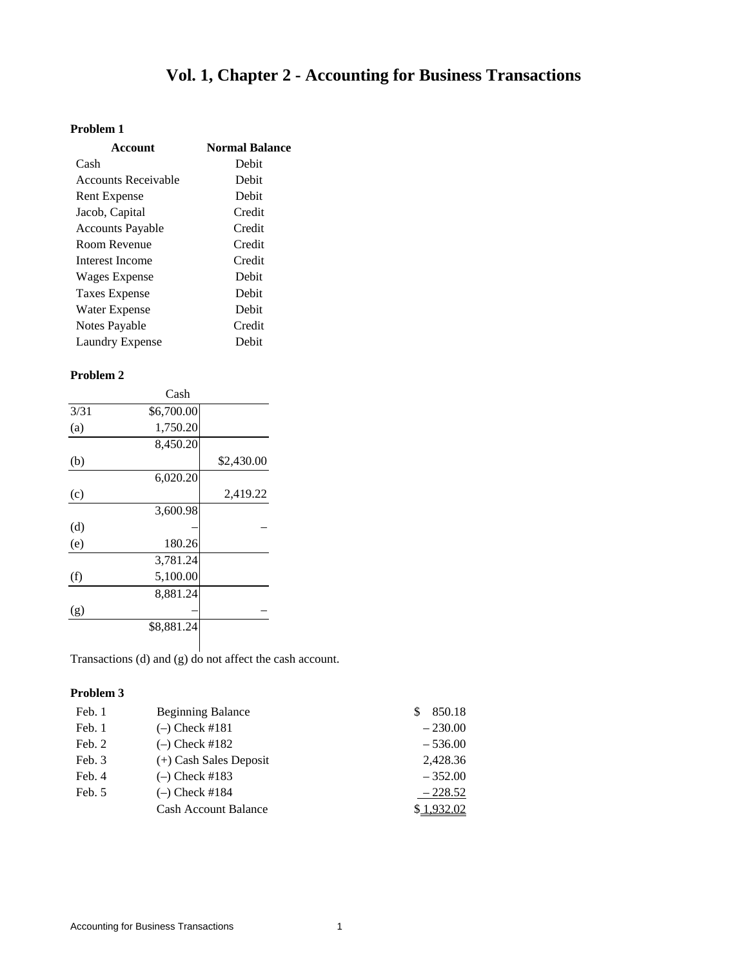# **Vol. 1, Chapter 2 - Accounting for Business Transactions**

## **Problem 1**

| Account                    | <b>Normal Balance</b> |
|----------------------------|-----------------------|
| Cash                       | Debit                 |
| <b>Accounts Receivable</b> | Debit                 |
| <b>Rent Expense</b>        | Debit                 |
| Jacob, Capital             | Credit                |
| <b>Accounts Payable</b>    | Credit                |
| Room Revenue               | Credit                |
| Interest Income            | Credit                |
| Wages Expense              | Debit                 |
| <b>Taxes Expense</b>       | Debit                 |
| Water Expense              | Debit                 |
| Notes Payable              | Credit                |
| Laundry Expense            | Debit                 |

#### **Problem 2**

|      | Cash       |            |
|------|------------|------------|
| 3/31 | \$6,700.00 |            |
| (a)  | 1,750.20   |            |
|      | 8,450.20   |            |
| (b)  |            | \$2,430.00 |
|      | 6,020.20   |            |
| (c)  |            | 2,419.22   |
|      | 3,600.98   |            |
| (d)  |            |            |
| (e)  | 180.26     |            |
|      | 3,781.24   |            |
| (f)  | 5,100.00   |            |
|      | 8,881.24   |            |
| (g)  |            |            |
|      | \$8,881.24 |            |
|      |            |            |

Transactions (d) and (g) do not affect the cash account.

| Feb. 1 | <b>Beginning Balance</b>    | 850.18    |
|--------|-----------------------------|-----------|
| Feb. 1 | $(-)$ Check #181            | $-230.00$ |
| Feb. 2 | $(-)$ Check #182            | $-536.00$ |
| Feb. 3 | $(+)$ Cash Sales Deposit    | 2,428.36  |
| Feb. 4 | $(-)$ Check #183            | $-352.00$ |
| Feb. 5 | $(-)$ Check #184            | $-228.52$ |
|        | <b>Cash Account Balance</b> | 1.932.02  |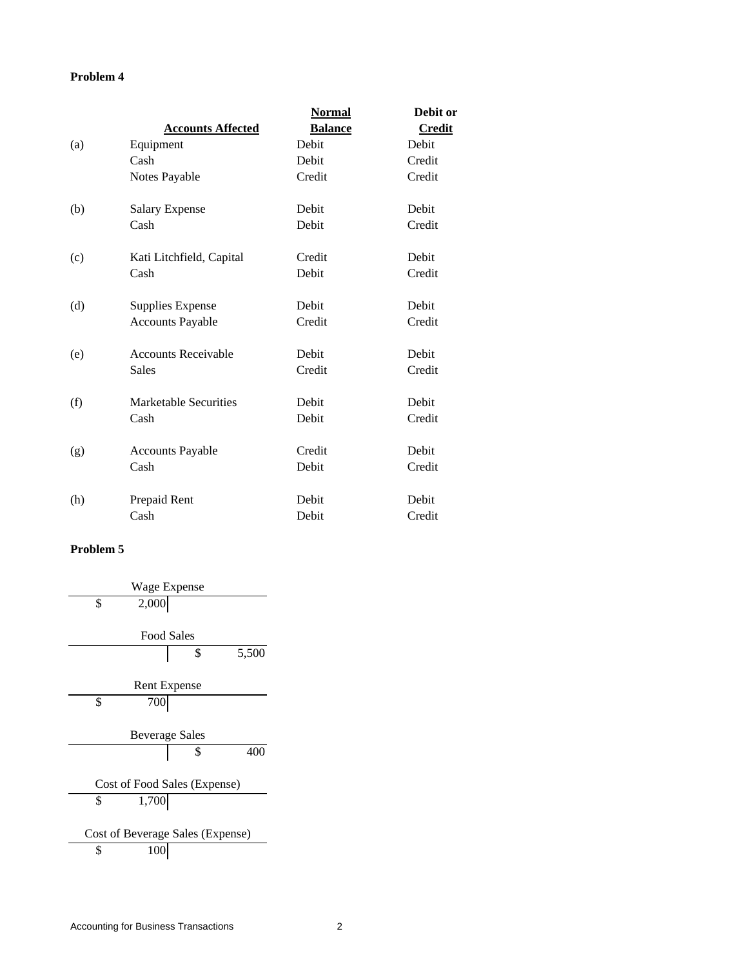|     |                            | <b>Normal</b>  | Debit or      |
|-----|----------------------------|----------------|---------------|
|     | <b>Accounts Affected</b>   | <b>Balance</b> | <b>Credit</b> |
| (a) | Equipment                  | Debit          | Debit         |
|     | Cash                       | Debit          | Credit        |
|     | Notes Payable              | Credit         | Credit        |
| (b) | <b>Salary Expense</b>      | Debit          | Debit         |
|     | Cash                       | Debit          | Credit        |
| (c) | Kati Litchfield, Capital   | Credit         | Debit         |
|     | Cash                       | Debit          | Credit        |
| (d) | <b>Supplies Expense</b>    | Debit          | Debit         |
|     | <b>Accounts Payable</b>    | Credit         | Credit        |
| (e) | <b>Accounts Receivable</b> | Debit          | Debit         |
|     | <b>Sales</b>               | Credit         | Credit        |
| (f) | Marketable Securities      | Debit          | Debit         |
|     | Cash                       | Debit          | Credit        |
| (g) | <b>Accounts Payable</b>    | Credit         | Debit         |
|     | Cash                       | Debit          | Credit        |
| (h) | Prepaid Rent               | Debit          | Debit         |
|     | Cash                       | Debit          | Credit        |

| Wage Expense                     |             |
|----------------------------------|-------------|
| \$<br>2,000                      |             |
|                                  |             |
| <b>Food Sales</b>                |             |
|                                  | \$<br>5,500 |
|                                  |             |
| <b>Rent Expense</b>              |             |
| \$<br>700                        |             |
|                                  |             |
| <b>Beverage Sales</b>            |             |
|                                  | \$<br>400   |
|                                  |             |
| Cost of Food Sales (Expense)     |             |
| \$<br>1,700                      |             |
|                                  |             |
| Cost of Beverage Sales (Expense) |             |
| \$<br>10                         |             |
|                                  |             |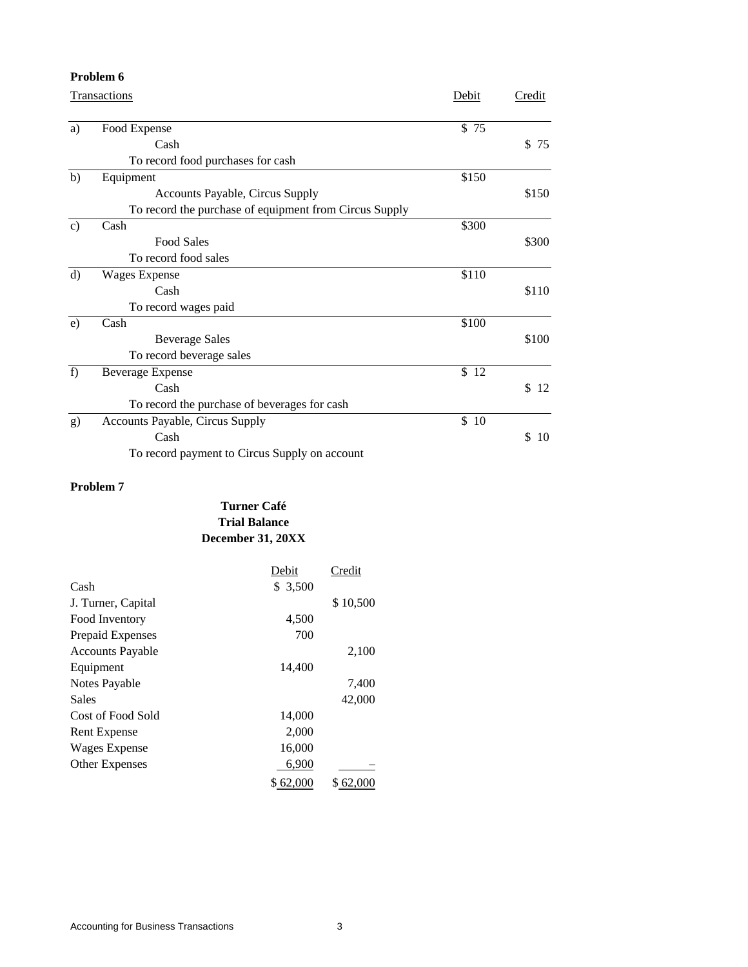|               | Problem 6                                              |       |          |
|---------------|--------------------------------------------------------|-------|----------|
|               | <b>Transactions</b>                                    |       | Credit   |
| a)            | Food Expense                                           | \$75  |          |
|               | Cash                                                   |       | \$<br>75 |
|               | To record food purchases for cash                      |       |          |
| b)            | Equipment                                              | \$150 |          |
|               | <b>Accounts Payable, Circus Supply</b>                 |       | \$150    |
|               | To record the purchase of equipment from Circus Supply |       |          |
| $\mathbf{c})$ | Cash                                                   | \$300 |          |
|               | <b>Food Sales</b>                                      |       | \$300    |
|               | To record food sales                                   |       |          |
| d)            | <b>Wages Expense</b>                                   | \$110 |          |
|               | Cash                                                   |       | \$110    |
|               | To record wages paid                                   |       |          |
| e)            | Cash                                                   | \$100 |          |
|               | <b>Beverage Sales</b>                                  |       | \$100    |
|               | To record beverage sales                               |       |          |
| f)            | <b>Beverage Expense</b>                                | \$12  |          |
|               | Cash                                                   |       | \$<br>12 |
|               | To record the purchase of beverages for cash           |       |          |
| g)            | <b>Accounts Payable, Circus Supply</b>                 | \$10  |          |
|               | Cash                                                   |       | \$<br>10 |
|               | To record payment to Circus Supply on account          |       |          |

# **Turner Café Trial Balance December 31, 20XX**

|                         | Debit    | Credit   |
|-------------------------|----------|----------|
| Cash                    | \$ 3,500 |          |
| J. Turner, Capital      |          | \$10,500 |
| Food Inventory          | 4,500    |          |
| Prepaid Expenses        | 700      |          |
| <b>Accounts Payable</b> |          | 2,100    |
| Equipment               | 14,400   |          |
| Notes Payable           |          | 7,400    |
| Sales                   |          | 42,000   |
| Cost of Food Sold       | 14,000   |          |
| <b>Rent Expense</b>     | 2,000    |          |
| Wages Expense           | 16,000   |          |
| <b>Other Expenses</b>   | 6,900    |          |
|                         | \$62,000 | 62.      |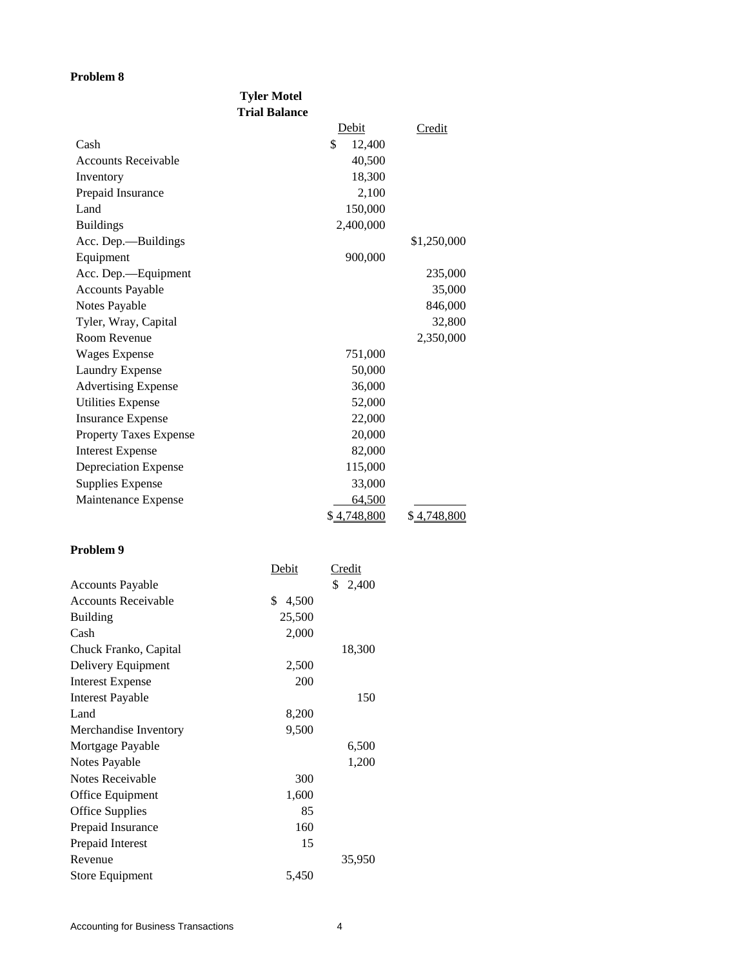|                               | <b>Tyler Motel</b><br><b>Trial Balance</b> |             |
|-------------------------------|--------------------------------------------|-------------|
|                               | Debit                                      | Credit      |
| Cash                          | \$<br>12,400                               |             |
| <b>Accounts Receivable</b>    | 40,500                                     |             |
| Inventory                     | 18,300                                     |             |
| Prepaid Insurance             | 2,100                                      |             |
| Land                          | 150,000                                    |             |
| <b>Buildings</b>              | 2,400,000                                  |             |
| Acc. Dep.—Buildings           |                                            | \$1,250,000 |
| Equipment                     | 900,000                                    |             |
| Acc. Dep.-Equipment           |                                            | 235,000     |
| <b>Accounts Payable</b>       |                                            | 35,000      |
| Notes Payable                 |                                            | 846,000     |
| Tyler, Wray, Capital          |                                            | 32,800      |
| Room Revenue                  |                                            | 2,350,000   |
| <b>Wages Expense</b>          | 751,000                                    |             |
| Laundry Expense               | 50,000                                     |             |
| <b>Advertising Expense</b>    | 36,000                                     |             |
| <b>Utilities Expense</b>      | 52,000                                     |             |
| <b>Insurance Expense</b>      | 22,000                                     |             |
| <b>Property Taxes Expense</b> | 20,000                                     |             |
| <b>Interest Expense</b>       | 82,000                                     |             |
| <b>Depreciation Expense</b>   | 115,000                                    |             |
| <b>Supplies Expense</b>       | 33,000                                     |             |
| Maintenance Expense           | 64,500                                     |             |
|                               | \$4,748,800                                | \$4,748,800 |

|                            | Debit       | Credit  |
|----------------------------|-------------|---------|
| <b>Accounts Payable</b>    |             | \$2,400 |
| <b>Accounts Receivable</b> | \$<br>4,500 |         |
| <b>Building</b>            | 25,500      |         |
| Cash                       | 2,000       |         |
| Chuck Franko, Capital      |             | 18,300  |
| Delivery Equipment         | 2,500       |         |
| Interest Expense           | 200         |         |
| Interest Payable           |             | 150     |
| Land                       | 8,200       |         |
| Merchandise Inventory      | 9,500       |         |
| Mortgage Payable           |             | 6,500   |
| Notes Payable              |             | 1,200   |
| Notes Receivable           | 300         |         |
| Office Equipment           | 1,600       |         |
| Office Supplies            | 85          |         |
| Prepaid Insurance          | 160         |         |
| Prepaid Interest           | 15          |         |
| Revenue                    |             | 35,950  |
| Store Equipment            | 5,450       |         |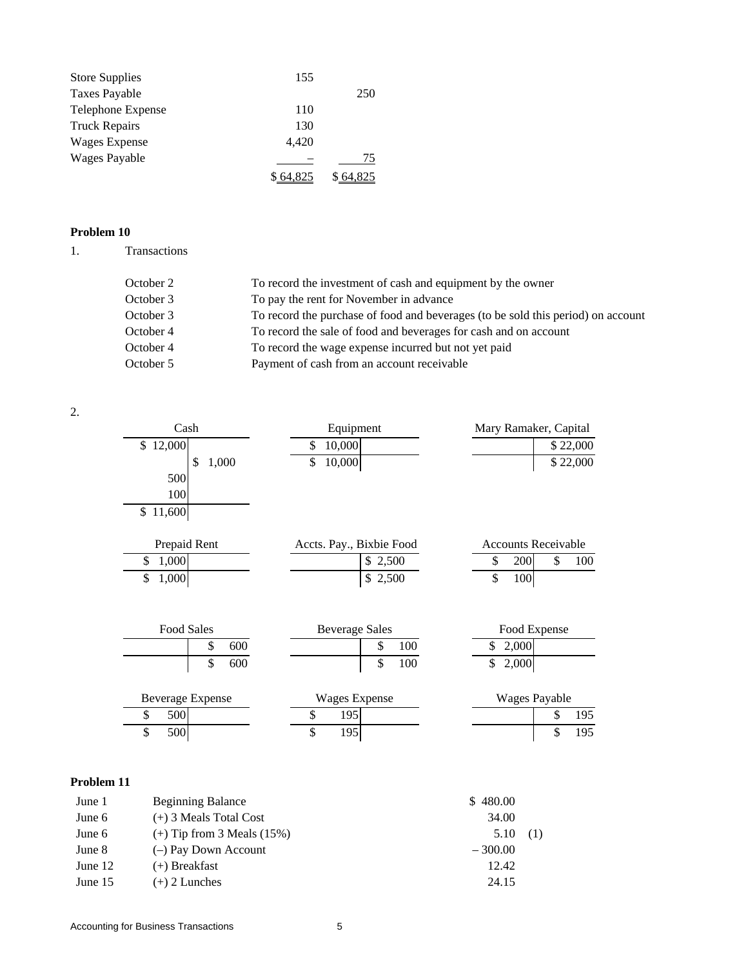| <b>Store Supplies</b> | 155   |     |
|-----------------------|-------|-----|
| Taxes Payable         |       | 250 |
| Telephone Expense     | 110   |     |
| <b>Truck Repairs</b>  | 130   |     |
| Wages Expense         | 4,420 |     |
| <b>Wages Payable</b>  |       | 75  |
|                       |       |     |

1. Transactions

| October 2 | To record the investment of cash and equipment by the owner                      |
|-----------|----------------------------------------------------------------------------------|
| October 3 | To pay the rent for November in advance                                          |
| October 3 | To record the purchase of food and beverages (to be sold this period) on account |
| October 4 | To record the sale of food and beverages for cash and on account                 |
| October 4 | To record the wage expense incurred but not yet paid                             |
| October 5 | Payment of cash from an account receivable                                       |

2.

| Cash                    |       | Equipment                |         |     | Mary Ramaker, Capital      |           |
|-------------------------|-------|--------------------------|---------|-----|----------------------------|-----------|
| \$12,000                |       | \$<br>10,000             |         |     |                            | \$22,000  |
| \$                      | 1,000 | \$<br>10,000             |         |     |                            | \$22,000  |
| 500                     |       |                          |         |     |                            |           |
| 100                     |       |                          |         |     |                            |           |
| \$<br>11,600            |       |                          |         |     |                            |           |
|                         |       |                          |         |     |                            |           |
| Prepaid Rent            |       | Accts. Pay., Bixbie Food |         |     | <b>Accounts Receivable</b> |           |
| \$<br>1,000             |       |                          | \$2,500 |     | \$<br>200                  | \$<br>100 |
| \$<br>1,000             |       |                          | \$2,500 |     | \$<br>100                  |           |
|                         |       |                          |         |     |                            |           |
|                         |       |                          |         |     |                            |           |
| <b>Food Sales</b>       |       | <b>Beverage Sales</b>    |         |     | Food Expense               |           |
| \$                      | 600   |                          | \$      | 100 | \$<br>2,000                |           |
| \$                      | 600   |                          | \$      | 100 | \$<br>2,000                |           |
|                         |       |                          |         |     |                            |           |
| <b>Beverage Expense</b> |       | <b>Wages Expense</b>     |         |     | <b>Wages Payable</b>       |           |
| \$<br>500               |       | \$<br>195                |         |     |                            | \$<br>195 |
| \$<br>500               |       | \$<br>195                |         |     |                            | \$<br>195 |
|                         |       |                          |         |     |                            |           |

| June 1  | <b>Beginning Balance</b>       | \$480.00  |  |
|---------|--------------------------------|-----------|--|
| June 6  | $(+)$ 3 Meals Total Cost       | 34.00     |  |
| June 6  | $(+)$ Tip from 3 Meals $(15%)$ | 5.10      |  |
| June 8  | $(-)$ Pay Down Account         | $-300.00$ |  |
| June 12 | $(+)$ Breakfast                | 12.42     |  |
| June 15 | $(+)$ 2 Lunches                | 24.15     |  |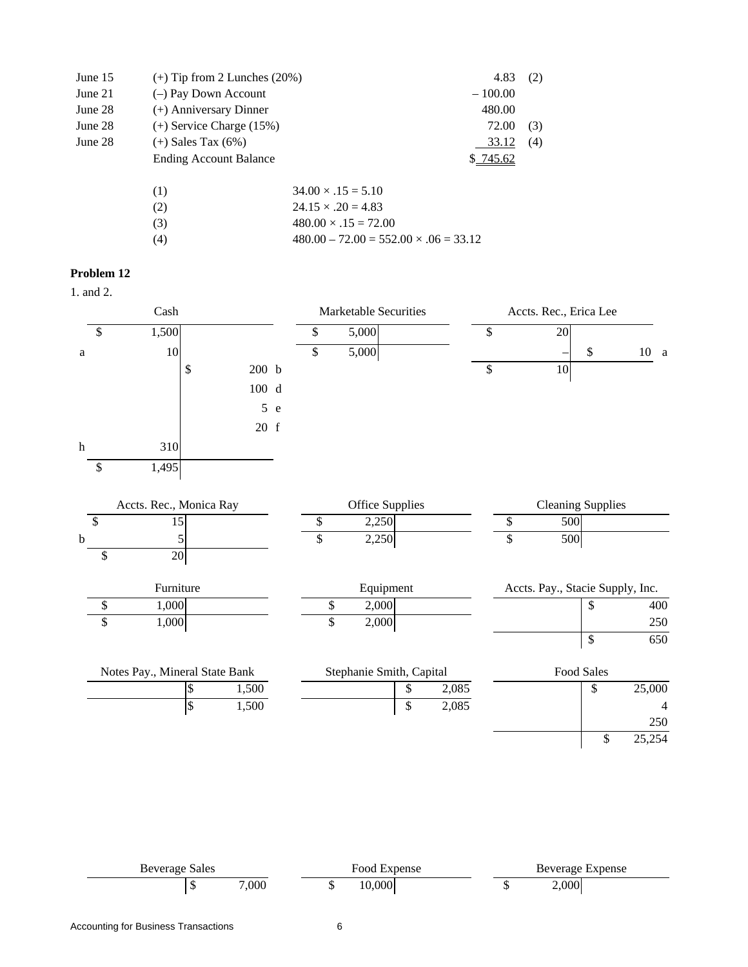| June 15 | $(+)$ Tip from 2 Lunches $(20%)$             |                           | 4.83      | (2) |  |  |
|---------|----------------------------------------------|---------------------------|-----------|-----|--|--|
| June 21 | $(-)$ Pay Down Account                       |                           | $-100.00$ |     |  |  |
| June 28 | $(+)$ Anniversary Dinner                     |                           | 480.00    |     |  |  |
| June 28 | $(+)$ Service Charge $(15%)$<br>72.00<br>(3) |                           |           |     |  |  |
| June 28 | $(+)$ Sales Tax $(6%)$                       |                           | 33.12     | (4) |  |  |
|         | <b>Ending Account Balance</b>                |                           | 745.62    |     |  |  |
|         | (1)                                          | $34.00 \times .15 = 5.10$ |           |     |  |  |
|         | (2)                                          | $24.15 \times .20 = 4.83$ |           |     |  |  |

(4)  $480.00 - 72.00 = 552.00 \times 0.06 = 33.12$ 

(3)  $480.00 \times .15 = 72.00$ 

## **Problem 12**

1. and 2.

|                           | Cash                           |            |       |   | Marketable Securities     |                          |    | Accts. Rec., Erica Lee |                 |                                  |              |             |                |
|---------------------------|--------------------------------|------------|-------|---|---------------------------|--------------------------|----|------------------------|-----------------|----------------------------------|--------------|-------------|----------------|
| \$                        | 1,500                          |            |       |   | \$                        | 5,000                    |    |                        | \$              | 20                               |              |             |                |
| $\rm{a}$                  | $10\,$                         |            |       |   | \$                        | 5,000                    |    |                        |                 |                                  | \$           | $10\quad a$ |                |
|                           |                                | \$         | 200 b |   |                           |                          |    |                        | \$              | 10                               |              |             |                |
|                           |                                |            | 100 d |   |                           |                          |    |                        |                 |                                  |              |             |                |
|                           |                                |            | 5     | e |                           |                          |    |                        |                 |                                  |              |             |                |
|                           |                                |            | 20 f  |   |                           |                          |    |                        |                 |                                  |              |             |                |
| $\boldsymbol{\textbf{h}}$ | 310                            |            |       |   |                           |                          |    |                        |                 |                                  |              |             |                |
| \$                        | 1,495                          |            |       |   |                           |                          |    |                        |                 |                                  |              |             |                |
|                           |                                |            |       |   |                           |                          |    |                        |                 |                                  |              |             |                |
|                           | Accts. Rec., Monica Ray        |            |       |   |                           | Office Supplies          |    |                        |                 | <b>Cleaning Supplies</b>         |              |             |                |
| $\boldsymbol{\mathsf{S}}$ | 15                             |            |       |   | $\boldsymbol{\mathsf{S}}$ | 2,250                    |    |                        | \$              | 500                              |              |             |                |
| $\bf b$                   | 5                              |            |       |   | \$                        | 2,250                    |    |                        | $\overline{\$}$ | 500                              |              |             |                |
| \$                        | 20                             |            |       |   |                           |                          |    |                        |                 |                                  |              |             |                |
|                           | Furniture                      |            |       |   |                           | Equipment                |    |                        |                 | Accts. Pay., Stacie Supply, Inc. |              |             |                |
| $\$$                      | 1,000                          |            |       |   | \$                        | 2,000                    |    |                        |                 |                                  | \$           |             | 400            |
| $\overline{\$}$           | 1,000                          |            |       |   | \$                        | 2,000                    |    |                        |                 |                                  |              |             | 250            |
|                           |                                |            |       |   |                           |                          |    |                        |                 |                                  | $\mathbb{S}$ |             | 650            |
|                           | Notes Pay., Mineral State Bank |            |       |   |                           | Stephanie Smith, Capital |    |                        |                 |                                  | Food Sales   |             |                |
|                           |                                | $\$$       | 1,500 |   |                           |                          | \$ | 2,085                  |                 |                                  | \$           | 25,000      |                |
|                           |                                | $\sqrt{3}$ | 1,500 |   |                           |                          | \$ | 2,085                  |                 |                                  |              |             | $\overline{4}$ |
|                           |                                |            |       |   |                           |                          |    |                        |                 |                                  |              |             |                |
|                           |                                |            |       |   |                           |                          |    |                        |                 |                                  |              |             | 250            |

Beverage Sales Food Expense Food Expense Beverage Expense  $\begin{array}{cccc} \text{8} & 7,000 & \text{$} & 10,000 & \text{$} & \text{$} & 2,000 \end{array}$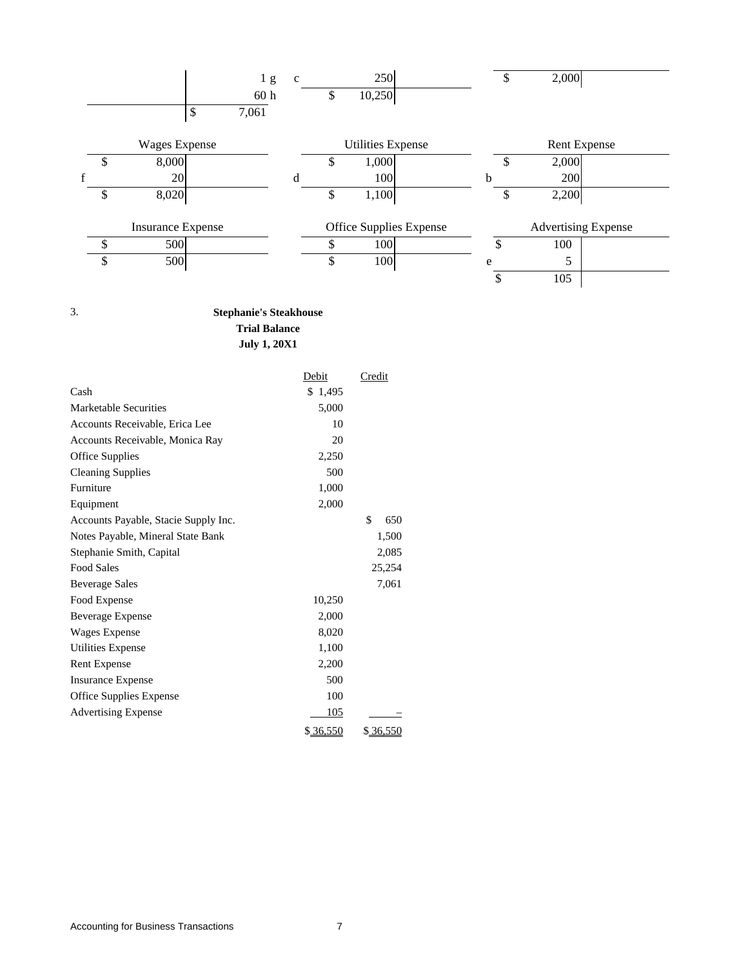|    |                          |   | 1 <sub>g</sub>  | $\mathbf{c}$ |          | 250                      |    | 2,000                      |  |
|----|--------------------------|---|-----------------|--------------|----------|--------------------------|----|----------------------------|--|
|    |                          |   | 60 <sub>h</sub> |              | \$       | 10,250                   |    |                            |  |
|    |                          | S | 7,061           |              |          |                          |    |                            |  |
|    | <b>Wages Expense</b>     |   |                 |              |          | <b>Utilities Expense</b> |    | <b>Rent Expense</b>        |  |
| J) | 8,000                    |   |                 |              | \$       | 1,000                    |    | 2,000                      |  |
|    | 20                       |   |                 |              |          | 100                      | b  | 200                        |  |
| \$ | 8,020                    |   |                 |              | \$       | 1,100                    | \$ | 2,200                      |  |
|    | <b>Insurance Expense</b> |   |                 |              |          | Office Supplies Expense  |    | <b>Advertising Expense</b> |  |
|    | 500                      |   |                 |              | ¢<br>۰D. | 100                      |    | 100                        |  |
| \$ | 500                      |   |                 |              | \$       | 100                      | e  | 5                          |  |
|    |                          |   |                 |              |          |                          |    | 105                        |  |

# 3. **Stephanie's Steakhouse Trial Balance July 1, 20X1**

|                                      | Debit    | Credit    |
|--------------------------------------|----------|-----------|
| Cash                                 | \$1,495  |           |
| Marketable Securities                | 5,000    |           |
| Accounts Receivable, Erica Lee       | 10       |           |
| Accounts Receivable, Monica Ray      | 20       |           |
| <b>Office Supplies</b>               | 2,250    |           |
| <b>Cleaning Supplies</b>             | 500      |           |
| Furniture                            | 1,000    |           |
| Equipment                            | 2,000    |           |
| Accounts Payable, Stacie Supply Inc. |          | \$<br>650 |
| Notes Payable, Mineral State Bank    |          | 1,500     |
| Stephanie Smith, Capital             |          | 2,085     |
| <b>Food Sales</b>                    |          | 25,254    |
| <b>Beverage Sales</b>                |          | 7,061     |
| Food Expense                         | 10,250   |           |
| <b>Beverage Expense</b>              | 2,000    |           |
| Wages Expense                        | 8,020    |           |
| Utilities Expense                    | 1,100    |           |
| <b>Rent Expense</b>                  | 2,200    |           |
| <b>Insurance Expense</b>             | 500      |           |
| <b>Office Supplies Expense</b>       | 100      |           |
| <b>Advertising Expense</b>           | 105      |           |
|                                      | \$36,550 | \$36,550  |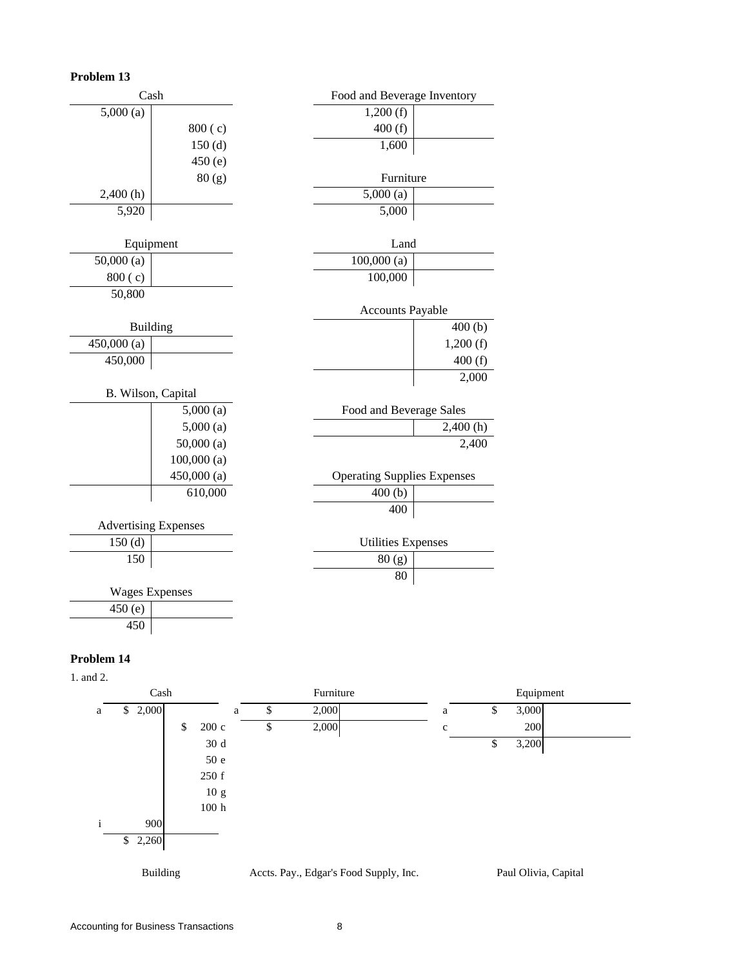| Cash                        |            | Food and Beverage Inventory        |          |
|-----------------------------|------------|------------------------------------|----------|
| 5,000(a)                    |            | 1,200(f)                           |          |
|                             | 800(c)     | 400(f)                             |          |
|                             | 150(d)     | 1,600                              |          |
|                             | 450(e)     |                                    |          |
|                             | 80(g)      | Furniture                          |          |
| 2,400(h)                    |            | 5,000(a)                           |          |
| 5,920                       |            | 5,000                              |          |
|                             |            |                                    |          |
| Equipment                   |            | Land                               |          |
| 50,000(a)                   |            | 100,000(a)                         |          |
| 800(c)                      |            | 100,000                            |          |
| 50,800                      |            |                                    |          |
|                             |            | <b>Accounts Payable</b>            |          |
| <b>Building</b>             |            |                                    | 400(b)   |
| 450,000(a)                  |            |                                    | 1,200(f) |
| 450,000                     |            |                                    | 400(f)   |
|                             |            |                                    | 2,000    |
| B. Wilson, Capital          |            |                                    |          |
|                             | 5,000(a)   | Food and Beverage Sales            |          |
|                             | 5,000(a)   |                                    | 2,400(h) |
|                             | 50,000(a)  |                                    | 2,400    |
|                             | 100,000(a) |                                    |          |
|                             | 450,000(a) | <b>Operating Supplies Expenses</b> |          |
|                             | 610,000    | 400(b)                             |          |
|                             |            | 400                                |          |
| <b>Advertising Expenses</b> |            |                                    |          |
| 150(d)                      |            | <b>Utilities Expenses</b>          |          |
| 150                         |            | 80(g)                              |          |
|                             |            | 80                                 |          |
| <b>Wages Expenses</b>       |            |                                    |          |
| 450 (e)                     |            |                                    |          |
| 450                         |            |                                    |          |

# **Problem 14**

1. and 2.



Building Accts. Pay., Edgar's Food Supply, Inc. Paul Olivia, Capital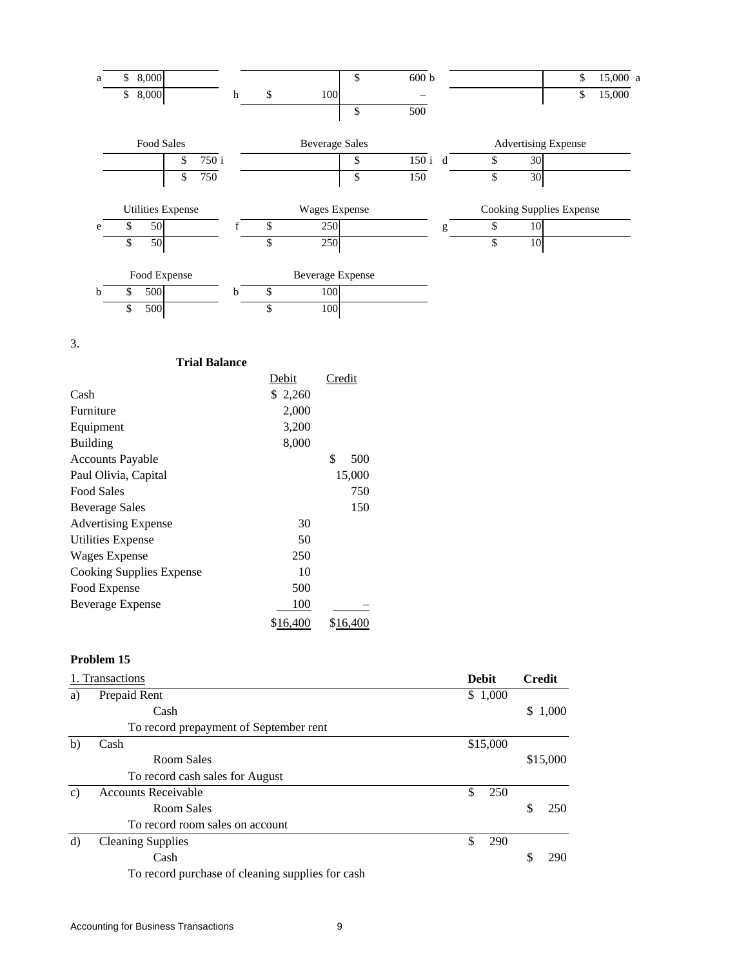

3.

| <b>Trial Balance</b>       |          |                  |
|----------------------------|----------|------------------|
|                            | Debit    | Credit           |
| Cash                       | \$ 2,260 |                  |
| Furniture                  | 2,000    |                  |
| Equipment                  | 3,200    |                  |
| <b>Building</b>            | 8,000    |                  |
| <b>Accounts Payable</b>    |          | \$<br>500        |
| Paul Olivia, Capital       |          | 15,000           |
| Food Sales                 |          | 750              |
| Beverage Sales             |          | 150              |
| <b>Advertising Expense</b> | 30       |                  |
| <b>Utilities Expense</b>   | 50       |                  |
| Wages Expense              | 250      |                  |
| Cooking Supplies Expense   | 10       |                  |
| Food Expense               | 500      |                  |
| <b>Beverage Expense</b>    | 100      |                  |
|                            | \$16,400 | \$ <u>16,400</u> |

|               | 1. Transactions                                  | <b>Debit</b> | <b>Credit</b> |          |
|---------------|--------------------------------------------------|--------------|---------------|----------|
| a)            | Prepaid Rent                                     | \$1,000      |               |          |
|               | Cash                                             |              | \$            | 1,000    |
|               | To record prepayment of September rent           |              |               |          |
| b)            | Cash                                             | \$15,000     |               |          |
|               | Room Sales                                       |              |               | \$15,000 |
|               | To record cash sales for August                  |              |               |          |
| $\mathbf{c})$ | <b>Accounts Receivable</b>                       | \$<br>250    |               |          |
|               | Room Sales                                       |              | S             | 250      |
|               | To record room sales on account                  |              |               |          |
| d)            | <b>Cleaning Supplies</b>                         | \$<br>290    |               |          |
|               | Cash                                             |              | S             | 290      |
|               | To record purchase of cleaning supplies for cash |              |               |          |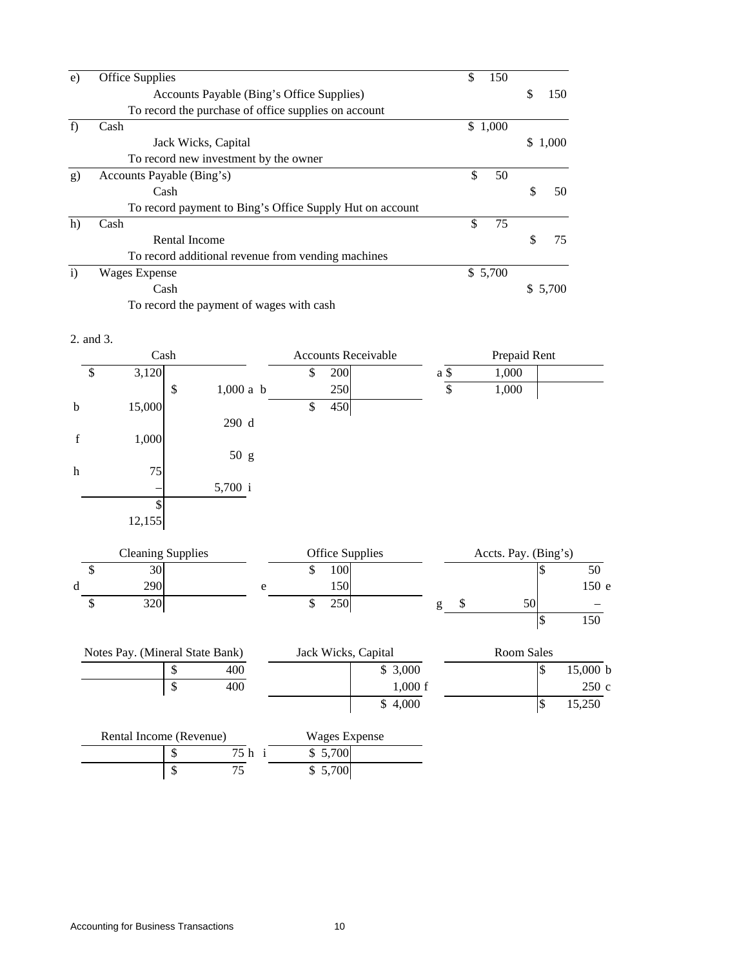| e)           | <b>Office Supplies</b>                                   | \$<br>150 |    |       |
|--------------|----------------------------------------------------------|-----------|----|-------|
|              | Accounts Payable (Bing's Office Supplies)                |           | S  | 150   |
|              | To record the purchase of office supplies on account     |           |    |       |
| f            | Cash                                                     | \$1,000   |    |       |
|              | Jack Wicks, Capital                                      |           | S. | 1,000 |
|              | To record new investment by the owner                    |           |    |       |
| g)           | Accounts Payable (Bing's)                                | \$<br>50  |    |       |
|              | Cash                                                     |           |    | 50    |
|              | To record payment to Bing's Office Supply Hut on account |           |    |       |
| h)           | Cash                                                     | \$<br>75  |    |       |
|              | Rental Income                                            |           |    | 75    |
|              | To record additional revenue from vending machines       |           |    |       |
| $\mathbf{i}$ | <b>Wages Expense</b>                                     | \$5,700   |    |       |
|              | Cash                                                     |           |    |       |

To record the payment of wages with cash

#### 2. and 3.

|             | Cash   |                   |                           | <b>Accounts Receivable</b> |      | Prepaid Rent |  |
|-------------|--------|-------------------|---------------------------|----------------------------|------|--------------|--|
| \$          | 3,120  |                   | $\boldsymbol{\mathsf{S}}$ | 200                        | a \$ | 1,000        |  |
|             |        | $1,000$ a b<br>\$ |                           | 250                        | \$   | 1,000        |  |
| $\mathbf b$ | 15,000 |                   | $\$$                      | 450                        |      |              |  |
|             |        | 290 d             |                           |                            |      |              |  |
| f           | 1,000  |                   |                           |                            |      |              |  |
|             |        | 50 g              |                           |                            |      |              |  |
| h           | 75     |                   |                           |                            |      |              |  |
|             | -      | 5,700 i           |                           |                            |      |              |  |
|             | \$     |                   |                           |                            |      |              |  |
|             | 12,155 |                   |                           |                            |      |              |  |
|             |        |                   |                           |                            |      |              |  |

|   | <b>Cleaning Supplies</b> | Office Supplies |                  |  |  | Accts. Pay. (Bing's) |       |
|---|--------------------------|-----------------|------------------|--|--|----------------------|-------|
|   | 30                       |                 | .00              |  |  |                      | 50    |
| a | 290                      |                 | 150 <sup>1</sup> |  |  |                      | 150 e |
|   | 320                      |                 | 250              |  |  | эu                   | -     |

 $\boxed{\$}$  150

| Notes Pay. (Mineral State Bank) |  |     | Room Sales |          |  |  |
|---------------------------------|--|-----|------------|----------|--|--|
|                                 |  | 400 | \$3,000    | 15,000 b |  |  |
|                                 |  | 400 | 1,000 f    | 250c     |  |  |
|                                 |  |     | \$4,000    | 15,250   |  |  |

| Rental Income (Revenue) |  |     | Wages Expense |  |
|-------------------------|--|-----|---------------|--|
|                         |  | 75h | \$5,700       |  |
|                         |  |     | \$5,700       |  |